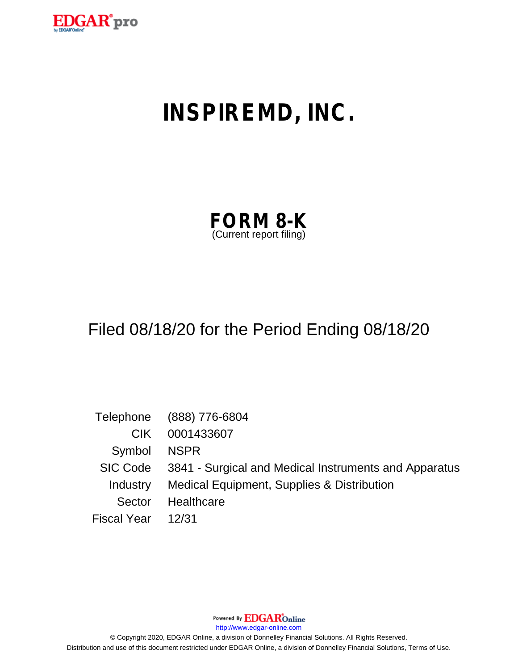

# **INSPIREMD, INC.**

| <b>FORM 8-K</b>         |  |
|-------------------------|--|
| (Current report filing) |  |

# Filed 08/18/20 for the Period Ending 08/18/20

|                    | Telephone (888) 776-6804                                       |
|--------------------|----------------------------------------------------------------|
| CIK.               | 0001433607                                                     |
| Symbol NSPR        |                                                                |
|                    | SIC Code 3841 - Surgical and Medical Instruments and Apparatus |
|                    | Industry Medical Equipment, Supplies & Distribution            |
| Sector             | Healthcare                                                     |
| Fiscal Year  12/31 |                                                                |

Powered By **EDGAR**Online

http://www.edgar-online.com

© Copyright 2020, EDGAR Online, a division of Donnelley Financial Solutions. All Rights Reserved. Distribution and use of this document restricted under EDGAR Online, a division of Donnelley Financial Solutions, Terms of Use.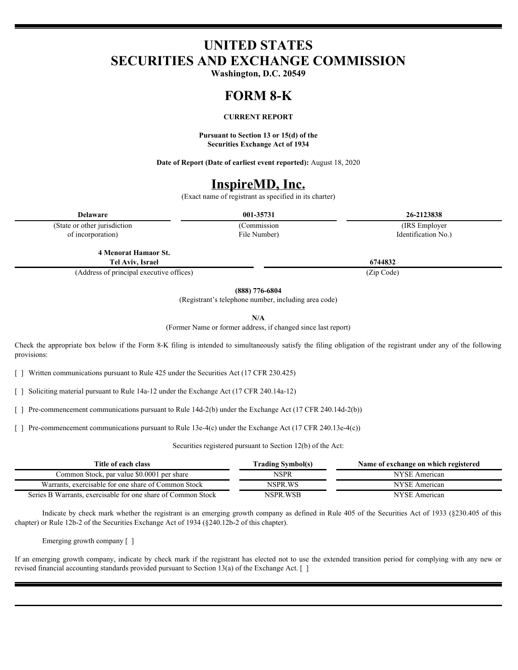## **UNITED STATES SECURITIES AND EXCHANGE COMMISSION**

**Washington, D.C. 20549**

#### **FORM 8-K**

#### **CURRENT REPORT**

**Pursuant to Section 13 or 15(d) of the Securities Exchange Act of 1934**

**Date of Report (Date of earliest event reported):** August 18, 2020

### **InspireMD, Inc.**

(Exact name of registrant as specified in its charter)

(State or other jurisdiction of incorporation)

File Number)

**Delaware 001-35731 26-2123838** (Commission (IRS Employer Identification No.)

**4 Menorat Hamaor St. Tel Aviv,** 

(Address of principal executive offices) (Zip Code)

**(888) 776-6804**

(Registrant's telephone number, including area code)

**N/A**

(Former Name or former address, if changed since last report)

Check the appropriate box below if the Form 8-K filing is intended to simultaneously satisfy the filing obligation of the registrant under any of the following provisions:

[ ] Written communications pursuant to Rule 425 under the Securities Act (17 CFR 230.425)

[ ] Soliciting material pursuant to Rule 14a-12 under the Exchange Act (17 CFR 240.14a-12)

[ ] Pre-commencement communications pursuant to Rule 14d-2(b) under the Exchange Act (17 CFR 240.14d-2(b))

[ ] Pre-commencement communications pursuant to Rule 13e-4(c) under the Exchange Act (17 CFR 240.13e-4(c))

Securities registered pursuant to Section 12(b) of the Act:

| Title of each class                                          | rading Symbol(s) | Name of exchange on which registered |
|--------------------------------------------------------------|------------------|--------------------------------------|
| Common Stock, par value \$0,0001 per share                   | NSPR             | NYSE American                        |
| Warrants, exercisable for one share of Common Stock          | NSPR.WS          | NYSE American                        |
| Series B Warrants, exercisable for one share of Common Stock | NSPR.WSB         | NYSE American                        |

Indicate by check mark whether the registrant is an emerging growth company as defined in Rule 405 of the Securities Act of 1933 (§230.405 of this chapter) or Rule 12b-2 of the Securities Exchange Act of 1934 (§240.12b-2 of this chapter).

Emerging growth company [ ]

If an emerging growth company, indicate by check mark if the registrant has elected not to use the extended transition period for complying with any new or revised financial accounting standards provided pursuant to Section 13(a) of the Exchange Act. [ ]

**Israel 6744832**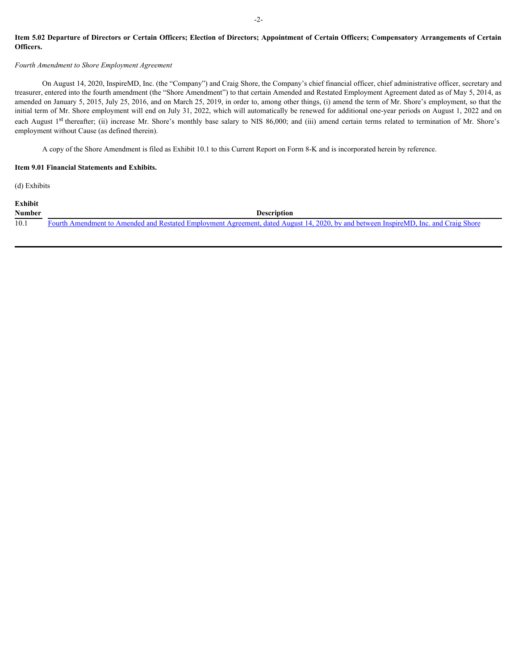#### Item 5.02 Departure of Directors or Certain Officers; Election of Directors; Appointment of Certain Officers; Compensatory Arrangements of Certain **Officers.**

#### *Fourth Amendment to Shore Employment Agreement*

On August 14, 2020, InspireMD, Inc. (the "Company") and Craig Shore, the Company's chief financial officer, chief administrative officer, secretary and treasurer, entered into the fourth amendment (the "Shore Amendment") to that certain Amended and Restated Employment Agreement dated as of May 5, 2014, as amended on January 5, 2015, July 25, 2016, and on March 25, 2019, in order to, among other things, (i) amend the term of Mr. Shore's employment, so that the initial term of Mr. Shore employment will end on July 31, 2022, which will automatically be renewed for additional one-year periods on August 1, 2022 and on 15tem 5.02 Departure of Directors or Certain Officers; Election of Directors; Appointment of Certain Officers; Compensatory Arrangements of Certain Officers.<br>
Fourth Amendment to Shore Employment Agreement<br>
Fourth Amendme employment without Cause (as defined therein).

A copy of the Shore Amendment is filed as Exhibit 10.1 to this Current Report on Form 8-K and is incorporated herein by reference.

#### **Item 9.01 Financial Statements and Exhibits.**

(d) Exhibits

| Exhibit       |                                                                                                                                      |
|---------------|--------------------------------------------------------------------------------------------------------------------------------------|
| <b>Number</b> | <b>Description</b>                                                                                                                   |
| 10.1          | Fourth Amendment to Amended and Restated Employment Agreement, dated August 14, 2020, by and between InspireMD, Inc. and Craig Shore |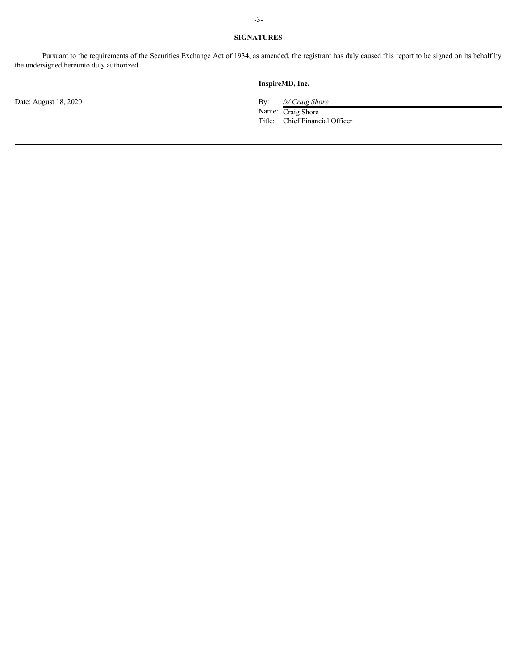#### **SIGNATURES**

Pursuant to the requirements of the Securities Exchange Act of 1934, as amended, the registrant has duly caused this report to be signed on its behalf by the undersigned hereunto duly authorized.

Date: August 18, 2020 By: */s/ Craig Shore*

#### **InspireMD, Inc.**

Name: Craig Shore Title: Chief Financial Officer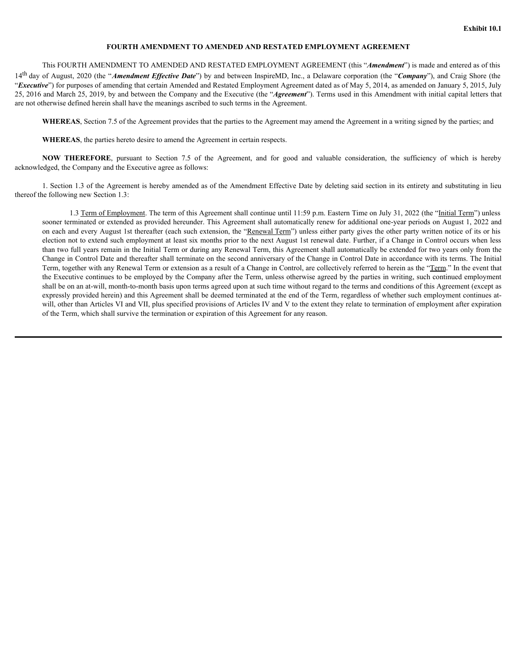#### **FOURTH AMENDMENT TO AMENDED AND RESTATED EMPLOYMENT AGREEMENT**

<span id="page-4-0"></span>This FOURTH AMENDMENT TO AMENDED AND RESTATED EMPLOYMENT AGREEMENT (this "*Amendment*") is made and entered as of this

14th day of August, 2020 (the "*Amendment Effective Date*") by and between InspireMD, Inc., a Delaware corporation (the "*Company*"), and Craig Shore (the "*Executive*") for purposes of amending that certain Amended and Restated Employment Agreement dated as of May 5, 2014, as amended on January 5, 2015, July 25, 2016 and March 25, 2019, by and between the Company and the Executive (the "*Agreement*"). Terms used in this Amendment with initial capital letters that are not otherwise defined herein shall have the meanings ascribed to such terms in the Agreement. **FOURTH AMENDMENT TO AMENDED AND RESTATED EMPLOYMENT AGREEMENT**<br>This FOURTH AMENDMENT TO AMENDED AND RESTATED EMPLOYMENT AGREEMENT (this "*Amendment*") is  $\mathbf{w}^2$  (hay the "*Amendment*") of Angust, 2020 (the "*Amendment* **THEREFORE, pursuant TO AMENDED AND RESTATED EMPLOYMENT AGREEMENT**<br> **TURTH AMENDMENT TO AMENDED AND RESTATED EMPLOYMENT AGREEMENT** (this "*Amendment*") is made and entered as of this<br>
stat, 2020 (the "*Amendment* Effective

**WHEREAS**, Section 7.5 of the Agreement provides that the parties to the Agreement may amend the Agreement in a writing signed by the parties; and

**WHEREAS**, the parties hereto desire to amend the Agreement in certain respects.

acknowledged, the Company and the Executive agree as follows:

1. Section 1.3 of the Agreement is hereby amended as of the Amendment Effective Date by deleting said section in its entirety and substituting in lieu thereof the following new Section 1.3:

1.3 Term of Employment. The term of this Agreement shall continue until 11:59 p.m. Eastern Time on July 31, 2022 (the "Initial Term") unless sooner terminated or extended as provided hereunder. This Agreement shall automatically renew for additional one-year periods on August 1, 2022 and on each and every August 1st thereafter (each such extension, the "Renewal Term") unless either party gives the other party written notice of its or his election not to extend such employment at least six months prior to the next August 1st renewal date. Further, if a Change in Control occurs when less than two full years remain in the Initial Term or during any Renewal Term, this Agreement shall automatically be extended for two years only from the Change in Control Date and thereafter shall terminate on the second anniversary of the Change in Control Date in accordance with its terms. The Initial Term, together with any Renewal Term or extension as a result of a Change in Control, are collectively referred to herein as the "Term." In the event that the Executive continues to be employed by the Company after the Term, unless otherwise agreed by the parties in writing, such continued employment shall be on an at-will, month-to-month basis upon terms agreed upon at such time without regard to the terms and conditions of this Agreement (except as expressly provided herein) and this Agreement shall be deemed terminated at the end of the Term, regardless of whether such employment continues atwill, other than Articles VI and VII, plus specified provisions of Articles IV and V to the extent they relate to termination of employment after expiration of the Term, which shall survive the termination or expiration of this Agreement for any reason.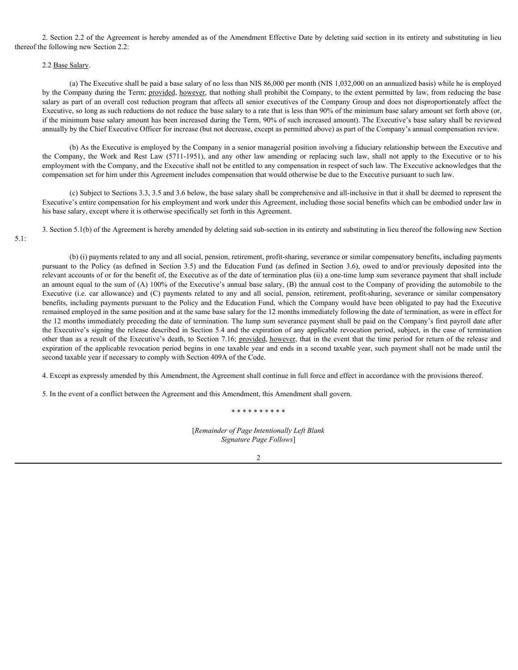2. Section 2.2 of the Agreement is hereby amended as of the Amendment Effective Date by deleting said section in its entirety and substituting in lieu thereof the following new Section 2.2:

#### 2.2 Base Salary.

(a) The Executive shall be paid a base salary of no less than NIS 86,000 per month (NIS 1,032,000 on an annualized basis) while he is employed by the Company during the Term; provided, however, that nothing shall prohibit the Company, to the extent permitted by law, from reducing the base salary as part of an overall cost reduction program that affects all senior executives of the Company Group and does not disproportionately affect the Executive, so long as such reductions do not reduce the base salary to a rate that is less than 90% of the minimum base salary amount set forth above (or, if the minimum base salary amount has been increased during the Term, 90% of such increased amount). The Executive's base salary shall be reviewed annually by the Chief Executive Officer for increase (but not decrease, except as permitted above) as part of the Company's annual compensation review. 2. Section 2.2 of the Agreement is hereby amended as of the Amendment Effective Date by deleting said section in its entirety and substituting in lieu<br>
2.2 <u>Base Sahary</u>.<br>
(a) The Exceutive shall be paid a base salary of n

(b) As the Executive is employed by the Company in a senior managerial position involving a fiduciary relationship between the Executive and employment with the Company, and the Executive shall not be entitled to any compensation in respect of such law. The Executive acknowledges that the compensation set for him under this Agreement includes compensation that would otherwise be due to the Executive pursuant to such law.

(c) Subject to Sections 3.3, 3.5 and 3.6 below, the base salary shall be comprehensive and all-inclusive in that it shall be deemed to represent the Executive's entire compensation for his employment and work under this Agreement, including those social benefits which can be embodied under law in his base salary, except where it is otherwise specifically set forth in this Agreement.

3. Section 5.1(b) of the Agreement is hereby amended by deleting said sub-section in its entirety and substituting in lieu thereof the following new Section

#### 5.1:

(b) (i) payments related to any and all social, pension, retirement, profit-sharing, severance or similar compensatory benefits, including payments 2. Section 2.2 of the Agreement is hereby amended as of the Amendment Elfective Dute by deleting said section in its entirey and substituting in level of the Section 2.21 Hase. (as No Education 2.21 Hase. (as No European relevant accounts of or for the benefit of, the Executive as of the date of termination plus (ii) a one-time lump sum severance payment that shall include an amount equal to the sum of (A) 100% of the Executive's annual base salary, (B) the annual cost to the Company of providing the automobile to the 2. Section 2.2 of the Agreement is hereby smeaded as of the Amendment Effective Date by decines and section in its entirely and allowing to selection 2.2<br>
2.2 <u>Bate Shiney</u>.<br>
2.2 <u>Bate Shiney</u>.<br>
2.2 Bate Shiney.<br>
2.2 Bate benefits, including payments pursuant to the Policy and the Education Fund, which the Company would have been obligated to pay had the Executive remained employed in the same position and at the same base salary for the 12 months immediately following the date of termination, as were in effect for the 12 months immediately preceding the date of termination. The lump sum severance payment shall be paid on the Company's first payroll date after the Executive's signing the release described in Section 5.4 and the expiration of any applicable revocation period, subject, in the case of termination other than as a result of the Executive's death, to Section 7.16; provided, however, that in the event that the time period for return of the release and expiration of the applicable revocation period begins in one taxable year and ends in a second taxable year, such payment shall not be made until the second taxable year if necessary to comply with Section 409A of the Code.

4. Except as expressly amended by this Amendment, the Agreement shall continue in full force and effect in accordance with the provisions thereof.

5. In the event of a conflict between the Agreement and this Amendment, this Amendment shall govern.

\* \* \* \* \* \* \* \* \* \*

[*Remainder of Page Intentionally Left Blank Signature Page Follows*]